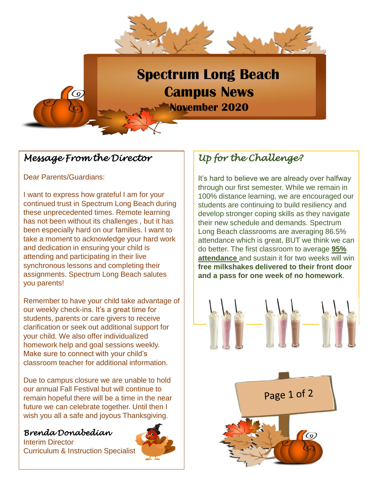

## *Message From the Director*

#### Dear Parents/Guardians:

I want to express how grateful I am for your continued trust in Spectrum Long Beach during these unprecedented times. Remote learning has not been without its challenges , but it has been especially hard on our families. I want to take a moment to acknowledge your hard work and dedication in ensuring your child is attending and participating in their live synchronous lessons and completing their assignments. Spectrum Long Beach salutes you parents!

Remember to have your child take advantage of our weekly check-ins. It's a great time for students, parents or care givers to receive clarification or seek out additional support for your child. We also offer individualized homework help and goal sessions weekly. Make sure to connect with your child's classroom teacher for additional information.

Due to campus closure we are unable to hold our annual Fall Festival but will continue to remain hopeful there will be a time in the near future we can celebrate together. Until then I wish you all a safe and joyous Thanksgiving.

### *Brenda Donabedian*

Interim Director Curriculum & Instruction Specialist



# *Up for the Challenge?*

It's hard to believe we are already over halfway through our first semester. While we remain in 100% distance learning, we are encouraged our students are continuing to build resiliency and develop stronger coping skills as they navigate their new schedule and demands. Spectrum Long Beach classrooms are averaging 86.5% attendance which is great, BUT we think we can do better. The first classroom to average **95% attendance** and sustain it for two weeks will win **free milkshakes delivered to their front door and a pass for one week of no homework**.



Page 1 of 2